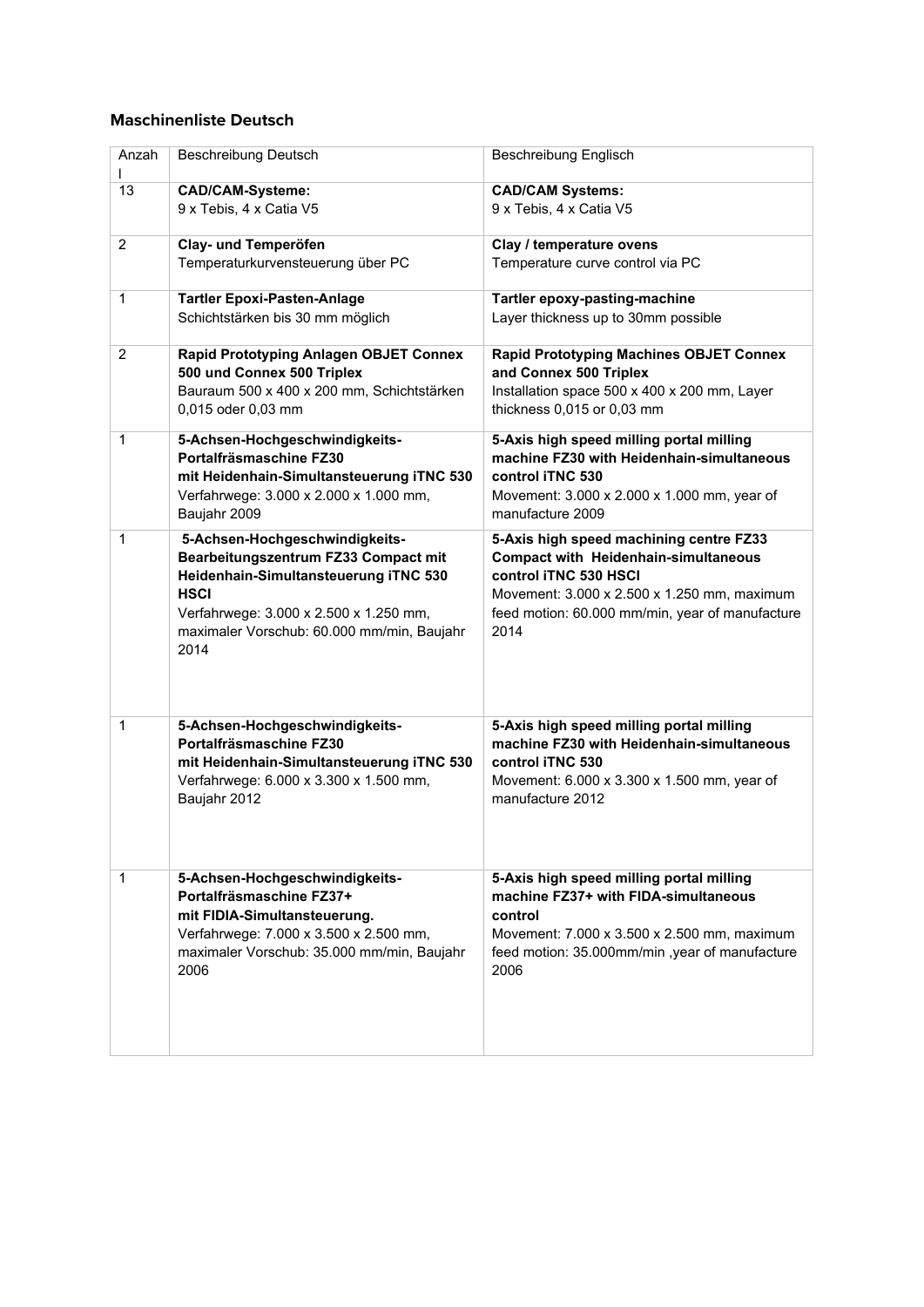## **Maschinenliste Deutsch**

| Anzah          | <b>Beschreibung Deutsch</b>                                                                                                                                                                                                    | Beschreibung Englisch                                                                                                                                                                                                     |
|----------------|--------------------------------------------------------------------------------------------------------------------------------------------------------------------------------------------------------------------------------|---------------------------------------------------------------------------------------------------------------------------------------------------------------------------------------------------------------------------|
| 13             | <b>CAD/CAM-Systeme:</b><br>9 x Tebis, 4 x Catia V5                                                                                                                                                                             | <b>CAD/CAM Systems:</b><br>9 x Tebis, 4 x Catia V5                                                                                                                                                                        |
| $\overline{2}$ | Clay- und Temperöfen<br>Temperaturkurvensteuerung über PC                                                                                                                                                                      | Clay / temperature ovens<br>Temperature curve control via PC                                                                                                                                                              |
| 1              | <b>Tartler Epoxi-Pasten-Anlage</b><br>Schichtstärken bis 30 mm möglich                                                                                                                                                         | Tartler epoxy-pasting-machine<br>Layer thickness up to 30mm possible                                                                                                                                                      |
| $\overline{2}$ | Rapid Prototyping Anlagen OBJET Connex<br>500 und Connex 500 Triplex<br>Bauraum 500 x 400 x 200 mm, Schichtstärken<br>0,015 oder 0,03 mm                                                                                       | <b>Rapid Prototyping Machines OBJET Connex</b><br>and Connex 500 Triplex<br>Installation space 500 x 400 x 200 mm, Layer<br>thickness 0,015 or 0,03 mm                                                                    |
| 1              | 5-Achsen-Hochgeschwindigkeits-<br>Portalfräsmaschine FZ30<br>mit Heidenhain-Simultansteuerung iTNC 530<br>Verfahrwege: 3.000 x 2.000 x 1.000 mm,<br>Baujahr 2009                                                               | 5-Axis high speed milling portal milling<br>machine FZ30 with Heidenhain-simultaneous<br>control iTNC 530<br>Movement: 3.000 x 2.000 x 1.000 mm, year of<br>manufacture 2009                                              |
| 1              | 5-Achsen-Hochgeschwindigkeits-<br>Bearbeitungszentrum FZ33 Compact mit<br>Heidenhain-Simultansteuerung iTNC 530<br><b>HSCI</b><br>Verfahrwege: 3.000 x 2.500 x 1.250 mm,<br>maximaler Vorschub: 60.000 mm/min, Baujahr<br>2014 | 5-Axis high speed machining centre FZ33<br><b>Compact with Heidenhain-simultaneous</b><br>control iTNC 530 HSCI<br>Movement: 3.000 x 2.500 x 1.250 mm, maximum<br>feed motion: 60.000 mm/min, year of manufacture<br>2014 |
| 1              | 5-Achsen-Hochgeschwindigkeits-<br>Portalfräsmaschine FZ30<br>mit Heidenhain-Simultansteuerung iTNC 530<br>Verfahrwege: 6.000 x 3.300 x 1.500 mm,<br>Baujahr 2012                                                               | 5-Axis high speed milling portal milling<br>machine FZ30 with Heidenhain-simultaneous<br>control iTNC 530<br>Movement: 6.000 x 3.300 x 1.500 mm, year of<br>manufacture 2012                                              |
| 1              | 5-Achsen-Hochgeschwindigkeits-<br>Portalfräsmaschine FZ37+<br>mit FIDIA-Simultansteuerung.<br>Verfahrwege: 7.000 x 3.500 x 2.500 mm,<br>maximaler Vorschub: 35.000 mm/min, Baujahr<br>2006                                     | 5-Axis high speed milling portal milling<br>machine FZ37+ with FIDA-simultaneous<br>control<br>Movement: 7.000 x 3.500 x 2.500 mm, maximum<br>feed motion: 35.000mm/min, year of manufacture<br>2006                      |